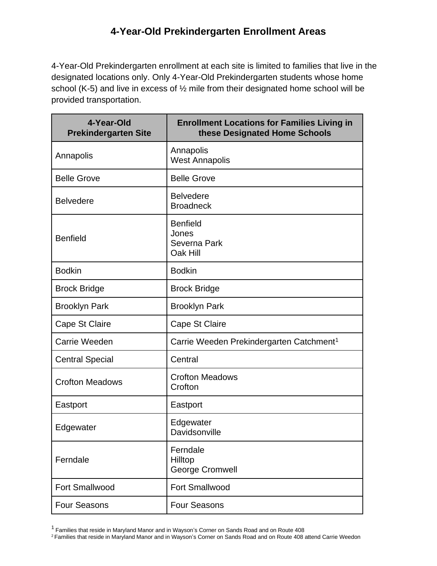4-Year-Old Prekindergarten enrollment at each site is limited to families that live in the designated locations only. Only 4-Year-Old Prekindergarten students whose home school (K-5) and live in excess of ½ mile from their designated home school will be provided transportation.

| 4-Year-Old<br><b>Prekindergarten Site</b> | <b>Enrollment Locations for Families Living in</b><br>these Designated Home Schools |
|-------------------------------------------|-------------------------------------------------------------------------------------|
| Annapolis                                 | Annapolis<br><b>West Annapolis</b>                                                  |
| <b>Belle Grove</b>                        | <b>Belle Grove</b>                                                                  |
| <b>Belvedere</b>                          | <b>Belvedere</b><br><b>Broadneck</b>                                                |
| <b>Benfield</b>                           | <b>Benfield</b><br>Jones<br>Severna Park<br>Oak Hill                                |
| <b>Bodkin</b>                             | <b>Bodkin</b>                                                                       |
| <b>Brock Bridge</b>                       | <b>Brock Bridge</b>                                                                 |
| <b>Brooklyn Park</b>                      | <b>Brooklyn Park</b>                                                                |
| Cape St Claire                            | Cape St Claire                                                                      |
| Carrie Weeden                             | Carrie Weeden Prekindergarten Catchment <sup>1</sup>                                |
| <b>Central Special</b>                    | Central                                                                             |
| <b>Crofton Meadows</b>                    | <b>Crofton Meadows</b><br>Crofton                                                   |
| Eastport                                  | Eastport                                                                            |
| Edgewater                                 | Edgewater<br>Davidsonville                                                          |
| Ferndale                                  | Ferndale<br>Hilltop<br><b>George Cromwell</b>                                       |
| <b>Fort Smallwood</b>                     | <b>Fort Smallwood</b>                                                               |
| <b>Four Seasons</b>                       | <b>Four Seasons</b>                                                                 |

<sup>1</sup> Families that reside in Maryland Manor and in Wayson's Corner on Sands Road and on Route 408

<sup>2</sup> Families that reside in Maryland Manor and in Wayson's Corner on Sands Road and on Route 408 attend Carrie Weedon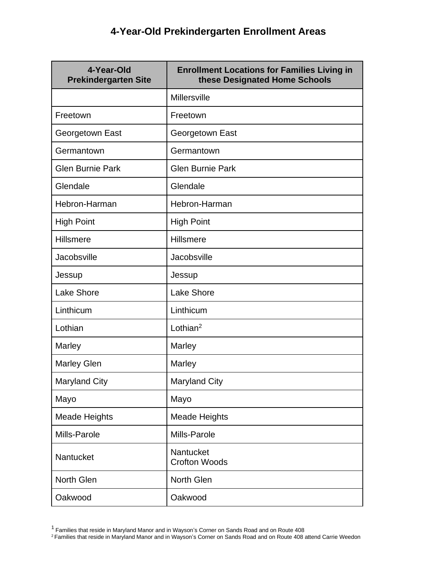| 4-Year-Old<br><b>Prekindergarten Site</b> | <b>Enrollment Locations for Families Living in</b><br>these Designated Home Schools |
|-------------------------------------------|-------------------------------------------------------------------------------------|
|                                           | Millersville                                                                        |
| Freetown                                  | Freetown                                                                            |
| Georgetown East                           | Georgetown East                                                                     |
| Germantown                                | Germantown                                                                          |
| <b>Glen Burnie Park</b>                   | <b>Glen Burnie Park</b>                                                             |
| Glendale                                  | Glendale                                                                            |
| Hebron-Harman                             | Hebron-Harman                                                                       |
| <b>High Point</b>                         | <b>High Point</b>                                                                   |
| Hillsmere                                 | Hillsmere                                                                           |
| <b>Jacobsville</b>                        | Jacobsville                                                                         |
| Jessup                                    | Jessup                                                                              |
| <b>Lake Shore</b>                         | <b>Lake Shore</b>                                                                   |
| Linthicum                                 | Linthicum                                                                           |
| Lothian                                   | Lothian <sup>2</sup>                                                                |
| Marley                                    | Marley                                                                              |
| <b>Marley Glen</b>                        | Marley                                                                              |
| <b>Maryland City</b>                      | <b>Maryland City</b>                                                                |
| Mayo                                      | Mayo                                                                                |
| <b>Meade Heights</b>                      | <b>Meade Heights</b>                                                                |
| Mills-Parole                              | Mills-Parole                                                                        |
| Nantucket                                 | Nantucket<br><b>Crofton Woods</b>                                                   |
| North Glen                                | North Glen                                                                          |
| Oakwood                                   | Oakwood                                                                             |

<sup>1</sup> Families that reside in Maryland Manor and in Wayson's Corner on Sands Road and on Route 408

<sup>2</sup> Families that reside in Maryland Manor and in Wayson's Corner on Sands Road and on Route 408 attend Carrie Weedon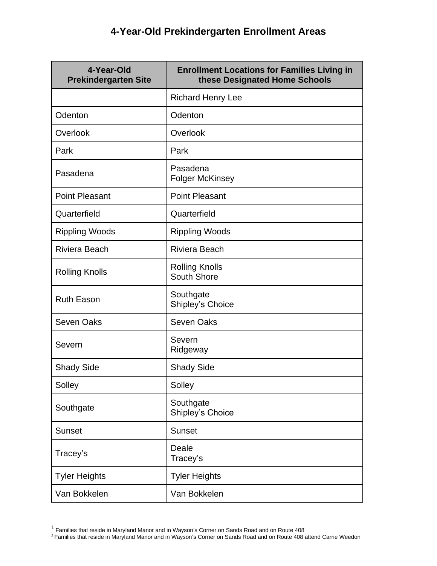| 4-Year-Old<br><b>Prekindergarten Site</b> | <b>Enrollment Locations for Families Living in</b><br>these Designated Home Schools |
|-------------------------------------------|-------------------------------------------------------------------------------------|
|                                           | <b>Richard Henry Lee</b>                                                            |
| Odenton                                   | Odenton                                                                             |
| Overlook                                  | Overlook                                                                            |
| Park                                      | Park                                                                                |
| Pasadena                                  | Pasadena<br><b>Folger McKinsey</b>                                                  |
| <b>Point Pleasant</b>                     | <b>Point Pleasant</b>                                                               |
| Quarterfield                              | Quarterfield                                                                        |
| <b>Rippling Woods</b>                     | <b>Rippling Woods</b>                                                               |
| <b>Riviera Beach</b>                      | <b>Riviera Beach</b>                                                                |
| <b>Rolling Knolls</b>                     | <b>Rolling Knolls</b><br>South Shore                                                |
| <b>Ruth Eason</b>                         | Southgate<br>Shipley's Choice                                                       |
| <b>Seven Oaks</b>                         | <b>Seven Oaks</b>                                                                   |
| Severn                                    | Severn<br>Ridgeway                                                                  |
| <b>Shady Side</b>                         | <b>Shady Side</b>                                                                   |
| Solley                                    | Solley                                                                              |
| Southgate                                 | Southgate<br>Shipley's Choice                                                       |
| <b>Sunset</b>                             | <b>Sunset</b>                                                                       |
| Tracey's                                  | Deale<br>Tracey's                                                                   |
| <b>Tyler Heights</b>                      | <b>Tyler Heights</b>                                                                |
| Van Bokkelen                              | Van Bokkelen                                                                        |

<sup>&</sup>lt;sup>1</sup> Families that reside in Maryland Manor and in Wayson's Corner on Sands Road and on Route 408

<sup>&</sup>lt;sup>2</sup> Families that reside in Maryland Manor and in Wayson's Corner on Sands Road and on Route 408 attend Carrie Weedon